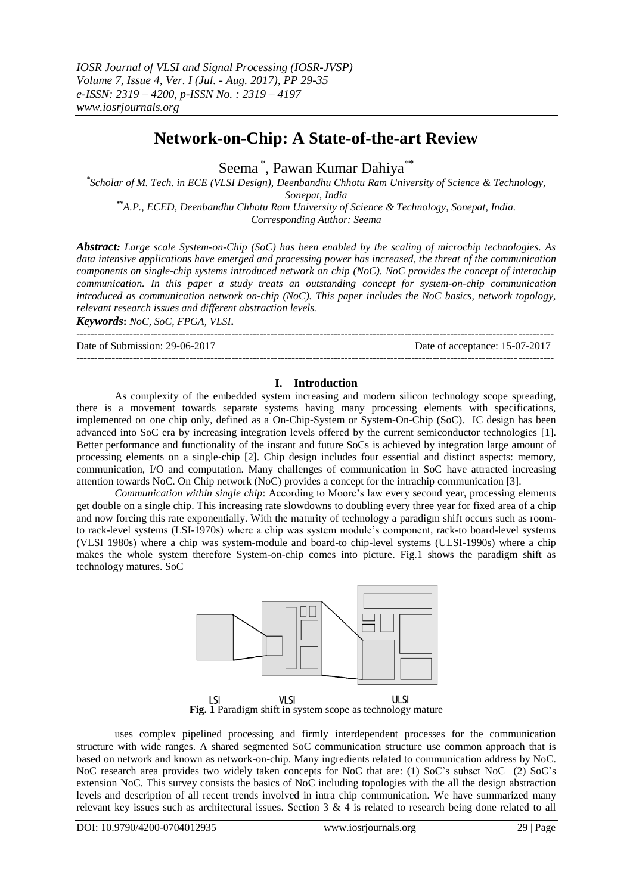# **Network-on-Chip: A State-of-the-art Review**

Seema \* , Pawan Kumar Dahiya\*\*

*\* Scholar of M. Tech. in ECE (VLSI Design), Deenbandhu Chhotu Ram University of Science & Technology, Sonepat, India \*\*A.P., ECED, Deenbandhu Chhotu Ram University of Science & Technology, Sonepat, India. Corresponding Author: Seema*

*Abstract: Large scale System-on-Chip (SoC) has been enabled by the scaling of microchip technologies. As data intensive applications have emerged and processing power has increased, the threat of the communication components on single-chip systems introduced network on chip (NoC). NoC provides the concept of interachip communication. In this paper a study treats an outstanding concept for system-on-chip communication introduced as communication network on-chip (NoC). This paper includes the NoC basics, network topology, relevant research issues and different abstraction levels.* 

*Keywords***:** *NoC, SoC, FPGA, VLSI***.**

 $-1\leq i\leq n-1$ 

Date of Submission: 29-06-2017 Date of acceptance: 15-07-2017

#### **I. Introduction**

---------------------------------------------------------------------------------------------------------------------------------------

As complexity of the embedded system increasing and modern silicon technology scope spreading, there is a movement towards separate systems having many processing elements with specifications, implemented on one chip only, defined as a On-Chip-System or System-On-Chip (SoC). IC design has been advanced into SoC era by increasing integration levels offered by the current semiconductor technologies [1]. Better performance and functionality of the instant and future SoCs is achieved by integration large amount of processing elements on a single-chip [2]. Chip design includes four essential and distinct aspects: memory, communication, I/O and computation. Many challenges of communication in SoC have attracted increasing attention towards NoC. On Chip network (NoC) provides a concept for the intrachip communication [3].

*Communication within single chip*: According to Moore's law every second year, processing elements get double on a single chip. This increasing rate slowdowns to doubling every three year for fixed area of a chip and now forcing this rate exponentially. With the maturity of technology a paradigm shift occurs such as roomto rack-level systems (LSI-1970s) where a chip was system module's component, rack-to board-level systems (VLSI 1980s) where a chip was system-module and board-to chip-level systems (ULSI-1990s) where a chip makes the whole system therefore System-on-chip comes into picture. Fig.1 shows the paradigm shift as technology matures. SoC



**Fig. 1** Paradigm shift in system scope as technology mature

uses complex pipelined processing and firmly interdependent processes for the communication structure with wide ranges. A shared segmented SoC communication structure use common approach that is based on network and known as network-on-chip. Many ingredients related to communication address by NoC. NoC research area provides two widely taken concepts for NoC that are: (1) SoC's subset NoC (2) SoC's extension NoC. This survey consists the basics of NoC including topologies with the all the design abstraction levels and description of all recent trends involved in intra chip communication. We have summarized many relevant key issues such as architectural issues. Section 3 & 4 is related to research being done related to all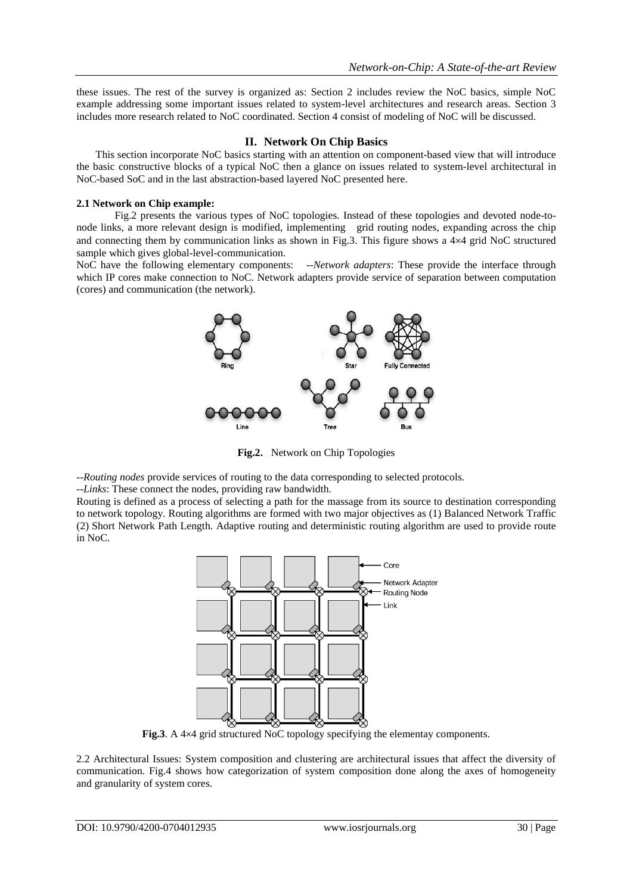these issues. The rest of the survey is organized as: Section 2 includes review the NoC basics, simple NoC example addressing some important issues related to system-level architectures and research areas. Section 3 includes more research related to NoC coordinated. Section 4 consist of modeling of NoC will be discussed.

## **II. Network On Chip Basics**

This section incorporate NoC basics starting with an attention on component-based view that will introduce the basic constructive blocks of a typical NoC then a glance on issues related to system-level architectural in NoC-based SoC and in the last abstraction-based layered NoC presented here.

## **2.1 Network on Chip example:**

Fig.2 presents the various types of NoC topologies. Instead of these topologies and devoted node-tonode links, a more relevant design is modified, implementing grid routing nodes, expanding across the chip and connecting them by communication links as shown in Fig.3. This figure shows a  $4\times4$  grid NoC structured sample which gives global-level-communication.

NoC have the following elementary components: --*Network adapters*: These provide the interface through which IP cores make connection to NoC. Network adapters provide service of separation between computation (cores) and communication (the network).



**Fig.2.** Network on Chip Topologies

--*Routing nodes* provide services of routing to the data corresponding to selected protocols.

--*Links*: These connect the nodes, providing raw bandwidth.

Routing is defined as a process of selecting a path for the massage from its source to destination corresponding to network topology. Routing algorithms are formed with two major objectives as (1) Balanced Network Traffic (2) Short Network Path Length. Adaptive routing and deterministic routing algorithm are used to provide route in NoC.



**Fig.3**. A 4×4 grid structured NoC topology specifying the elementay components.

2.2 Architectural Issues: System composition and clustering are architectural issues that affect the diversity of communication. Fig.4 shows how categorization of system composition done along the axes of homogeneity and granularity of system cores.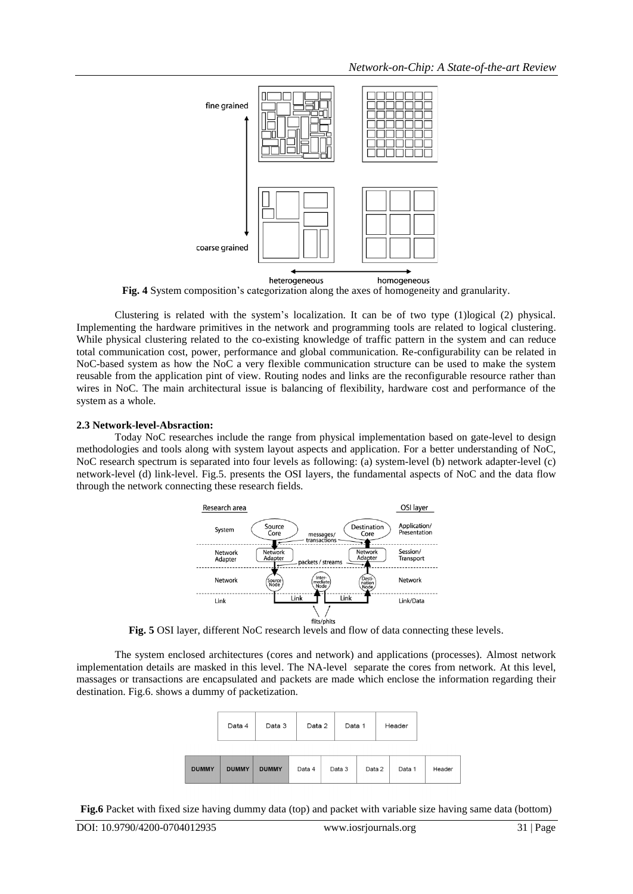

**Fig. 4** System composition's categorization along the axes of homogeneity and granularity.

Clustering is related with the system's localization. It can be of two type (1)logical (2) physical. Implementing the hardware primitives in the network and programming tools are related to logical clustering. While physical clustering related to the co-existing knowledge of traffic pattern in the system and can reduce total communication cost, power, performance and global communication. Re-configurability can be related in NoC-based system as how the NoC a very flexible communication structure can be used to make the system reusable from the application pint of view. Routing nodes and links are the reconfigurable resource rather than wires in NoC. The main architectural issue is balancing of flexibility, hardware cost and performance of the system as a whole.

#### **2.3 Network-level-Absraction:**

Today NoC researches include the range from physical implementation based on gate-level to design methodologies and tools along with system layout aspects and application. For a better understanding of NoC, NoC research spectrum is separated into four levels as following: (a) system-level (b) network adapter-level (c) network-level (d) link-level. Fig.5. presents the OSI layers, the fundamental aspects of NoC and the data flow through the network connecting these research fields.



**Fig. 5** OSI layer, different NoC research levels and flow of data connecting these levels.

The system enclosed architectures (cores and network) and applications (processes). Almost network implementation details are masked in this level. The NA-level separate the cores from network. At this level, massages or transactions are encapsulated and packets are made which enclose the information regarding their destination. Fig.6. shows a dummy of packetization.



**Fig.6** Packet with fixed size having dummy data (top) and packet with variable size having same data (bottom)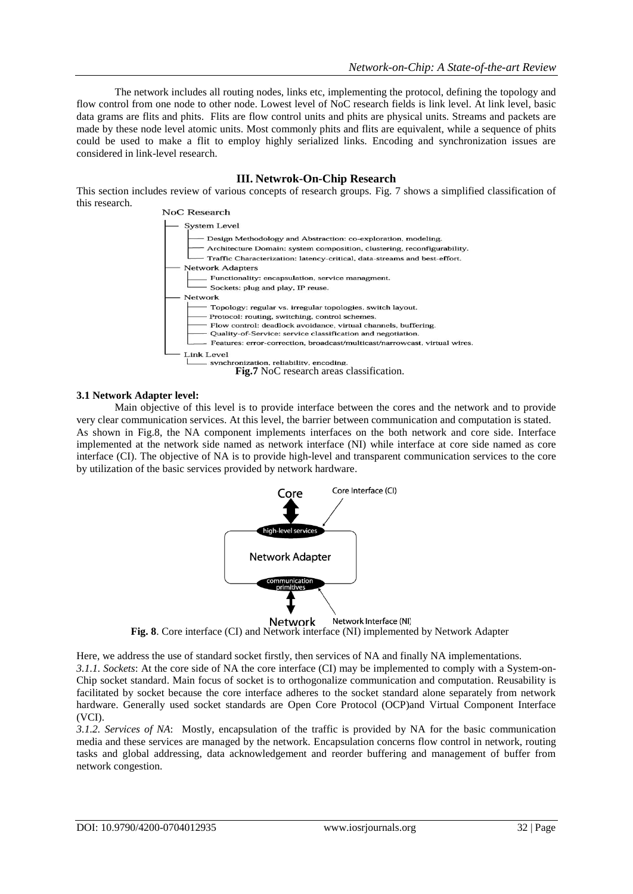The network includes all routing nodes, links etc, implementing the protocol, defining the topology and flow control from one node to other node. Lowest level of NoC research fields is link level. At link level, basic data grams are flits and phits. Flits are flow control units and phits are physical units. Streams and packets are made by these node level atomic units. Most commonly phits and flits are equivalent, while a sequence of phits could be used to make a flit to employ highly serialized links. Encoding and synchronization issues are considered in link-level research.

## **III. Netwrok-On-Chip Research**

This section includes review of various concepts of research groups. Fig. 7 shows a simplified classification of this research.



#### **3.1 Network Adapter level:**

Main objective of this level is to provide interface between the cores and the network and to provide very clear communication services. At this level, the barrier between communication and computation is stated. As shown in Fig.8, the NA component implements interfaces on the both network and core side. Interface implemented at the network side named as network interface (NI) while interface at core side named as core interface (CI). The objective of NA is to provide high-level and transparent communication services to the core by utilization of the basic services provided by network hardware.



Network Interface (NI) Network **Fig. 8**. Core interface (CI) and Network interface (NI) implemented by Network Adapter

Here, we address the use of standard socket firstly, then services of NA and finally NA implementations. *3.1.1. Sockets*: At the core side of NA the core interface (CI) may be implemented to comply with a System-on-Chip socket standard. Main focus of socket is to orthogonalize communication and computation. Reusability is facilitated by socket because the core interface adheres to the socket standard alone separately from network hardware. Generally used socket standards are Open Core Protocol (OCP)and Virtual Component Interface (VCI).

*3.1.2. Services of NA*: Mostly, encapsulation of the traffic is provided by NA for the basic communication media and these services are managed by the network. Encapsulation concerns flow control in network, routing tasks and global addressing, data acknowledgement and reorder buffering and management of buffer from network congestion.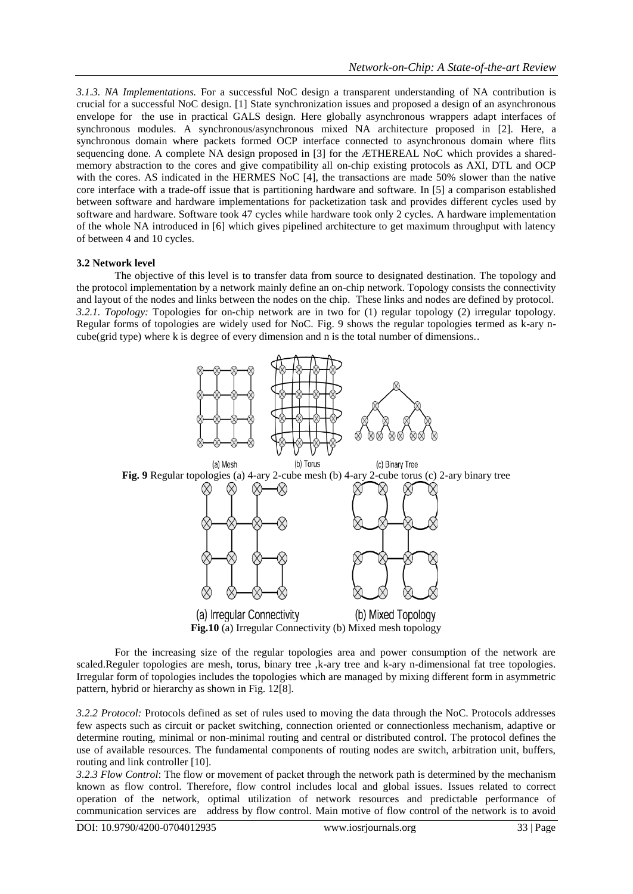*3.1.3. NA Implementations.* For a successful NoC design a transparent understanding of NA contribution is crucial for a successful NoC design. [1] State synchronization issues and proposed a design of an asynchronous envelope for the use in practical GALS design. Here globally asynchronous wrappers adapt interfaces of synchronous modules. A synchronous/asynchronous mixed NA architecture proposed in [2]. Here, a synchronous domain where packets formed OCP interface connected to asynchronous domain where flits sequencing done. A complete NA design proposed in [3] for the ÆTHEREAL NoC which provides a sharedmemory abstraction to the cores and give compatibility all on-chip existing protocols as AXI, DTL and OCP with the cores. AS indicated in the HERMES NoC [4], the transactions are made 50% slower than the native core interface with a trade-off issue that is partitioning hardware and software. In [5] a comparison established between software and hardware implementations for packetization task and provides different cycles used by software and hardware. Software took 47 cycles while hardware took only 2 cycles. A hardware implementation of the whole NA introduced in [6] which gives pipelined architecture to get maximum throughput with latency of between 4 and 10 cycles.

#### **3.2 Network level**

The objective of this level is to transfer data from source to designated destination. The topology and the protocol implementation by a network mainly define an on-chip network. Topology consists the connectivity and layout of the nodes and links between the nodes on the chip. These links and nodes are defined by protocol. *3.2.1. Topology:* Topologies for on-chip network are in two for (1) regular topology (2) irregular topology. Regular forms of topologies are widely used for NoC. Fig. 9 shows the regular topologies termed as k-ary ncube(grid type) where k is degree of every dimension and n is the total number of dimensions..



For the increasing size of the regular topologies area and power consumption of the network are scaled.Reguler topologies are mesh, torus, binary tree ,k-ary tree and k-ary n-dimensional fat tree topologies. Irregular form of topologies includes the topologies which are managed by mixing different form in asymmetric pattern, hybrid or hierarchy as shown in Fig. 12[8].

*3.2.2 Protocol:* Protocols defined as set of rules used to moving the data through the NoC. Protocols addresses few aspects such as circuit or packet switching, connection oriented or connectionless mechanism, adaptive or determine routing, minimal or non-minimal routing and central or distributed control. The protocol defines the use of available resources. The fundamental components of routing nodes are switch, arbitration unit, buffers, routing and link controller [10].

*3.2.3 Flow Control*: The flow or movement of packet through the network path is determined by the mechanism known as flow control. Therefore, flow control includes local and global issues. Issues related to correct operation of the network, optimal utilization of network resources and predictable performance of communication services are address by flow control. Main motive of flow control of the network is to avoid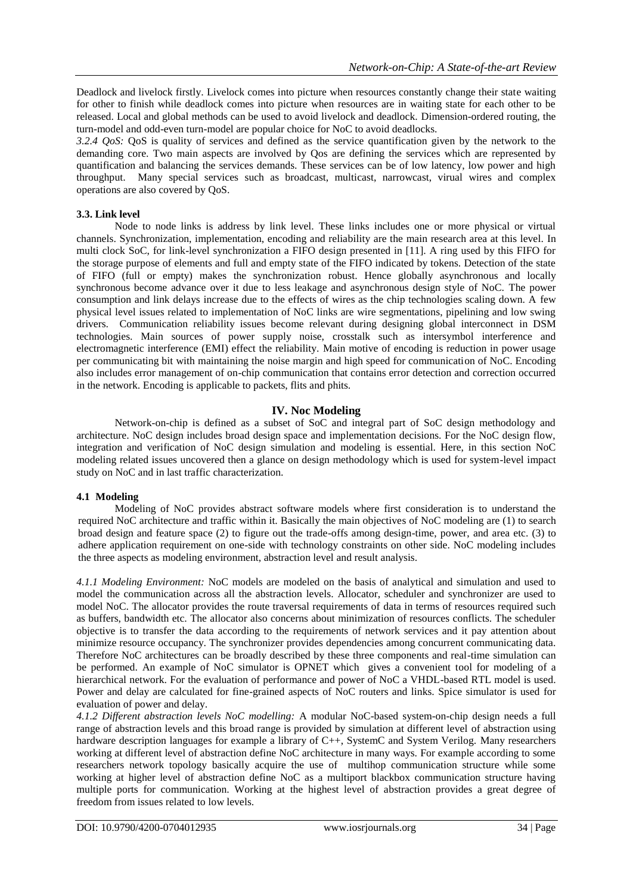Deadlock and livelock firstly. Livelock comes into picture when resources constantly change their state waiting for other to finish while deadlock comes into picture when resources are in waiting state for each other to be released. Local and global methods can be used to avoid livelock and deadlock. Dimension-ordered routing, the turn-model and odd-even turn-model are popular choice for NoC to avoid deadlocks.

*3.2.4 QoS:* QoS is quality of services and defined as the service quantification given by the network to the demanding core. Two main aspects are involved by Qos are defining the services which are represented by quantification and balancing the services demands. These services can be of low latency, low power and high throughput. Many special services such as broadcast, multicast, narrowcast, virual wires and complex operations are also covered by QoS.

### **3.3. Link level**

Node to node links is address by link level. These links includes one or more physical or virtual channels. Synchronization, implementation, encoding and reliability are the main research area at this level. In multi clock SoC, for link-level synchronization a FIFO design presented in [11]. A ring used by this FIFO for the storage purpose of elements and full and empty state of the FIFO indicated by tokens. Detection of the state of FIFO (full or empty) makes the synchronization robust. Hence globally asynchronous and locally synchronous become advance over it due to less leakage and asynchronous design style of NoC. The power consumption and link delays increase due to the effects of wires as the chip technologies scaling down. A few physical level issues related to implementation of NoC links are wire segmentations, pipelining and low swing drivers. Communication reliability issues become relevant during designing global interconnect in DSM technologies. Main sources of power supply noise, crosstalk such as intersymbol interference and electromagnetic interference (EMI) effect the reliability. Main motive of encoding is reduction in power usage per communicating bit with maintaining the noise margin and high speed for communication of NoC. Encoding also includes error management of on-chip communication that contains error detection and correction occurred in the network. Encoding is applicable to packets, flits and phits.

# **IV. Noc Modeling**

Network-on-chip is defined as a subset of SoC and integral part of SoC design methodology and architecture. NoC design includes broad design space and implementation decisions. For the NoC design flow, integration and verification of NoC design simulation and modeling is essential. Here, in this section NoC modeling related issues uncovered then a glance on design methodology which is used for system-level impact study on NoC and in last traffic characterization.

### **4.1 Modeling**

Modeling of NoC provides abstract software models where first consideration is to understand the required NoC architecture and traffic within it. Basically the main objectives of NoC modeling are (1) to search broad design and feature space (2) to figure out the trade-offs among design-time, power, and area etc. (3) to adhere application requirement on one-side with technology constraints on other side. NoC modeling includes the three aspects as modeling environment, abstraction level and result analysis.

*4.1.1 Modeling Environment:* NoC models are modeled on the basis of analytical and simulation and used to model the communication across all the abstraction levels. Allocator, scheduler and synchronizer are used to model NoC. The allocator provides the route traversal requirements of data in terms of resources required such as buffers, bandwidth etc. The allocator also concerns about minimization of resources conflicts. The scheduler objective is to transfer the data according to the requirements of network services and it pay attention about minimize resource occupancy. The synchronizer provides dependencies among concurrent communicating data. Therefore NoC architectures can be broadly described by these three components and real-time simulation can be performed. An example of NoC simulator is OPNET which gives a convenient tool for modeling of a hierarchical network. For the evaluation of performance and power of NoC a VHDL-based RTL model is used. Power and delay are calculated for fine-grained aspects of NoC routers and links. Spice simulator is used for evaluation of power and delay.

*4.1.2 Different abstraction levels NoC modelling:* A modular NoC-based system-on-chip design needs a full range of abstraction levels and this broad range is provided by simulation at different level of abstraction using hardware description languages for example a library of C++, SystemC and System Verilog. Many researchers working at different level of abstraction define NoC architecture in many ways. For example according to some researchers network topology basically acquire the use of multihop communication structure while some working at higher level of abstraction define NoC as a multiport blackbox communication structure having multiple ports for communication. Working at the highest level of abstraction provides a great degree of freedom from issues related to low levels.